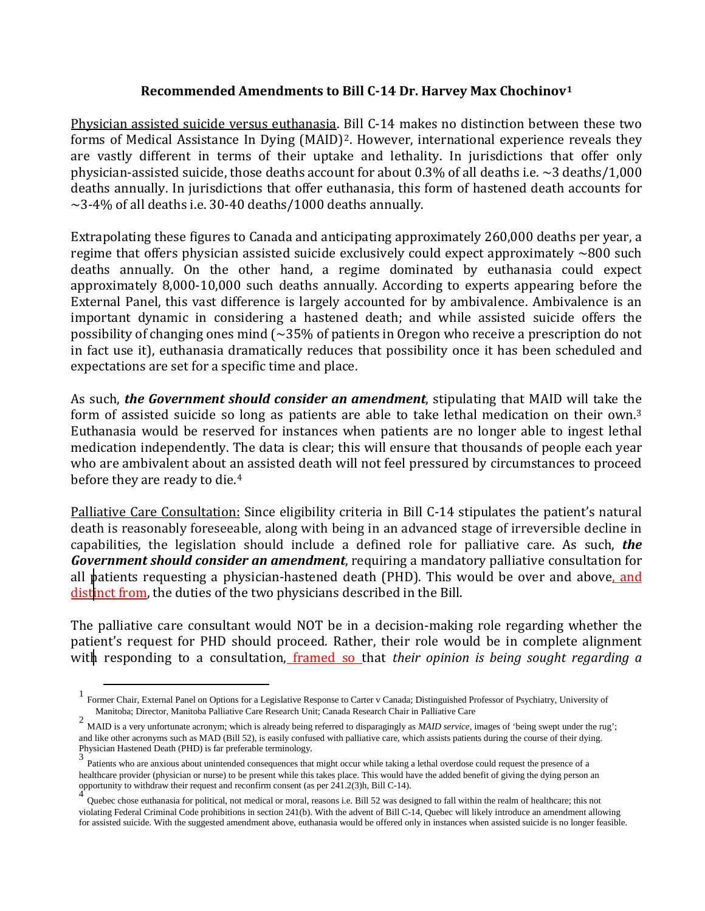## **Recommended Amendments to Bill C-14 Dr. Harvey Max Chochinov[1](#page-0-0)**

Physician assisted suicide versus euthanasia. Bill C-14 makes no distinction between these two forms of Medical Assistance In Dying (MAID)[2.](#page-0-1) However, international experience reveals they are vastly different in terms of their uptake and lethality. In jurisdictions that offer only physician-assisted suicide, those deaths account for about 0.3% of all deaths i.e.  $\sim$ 3 deaths/1,000 deaths annually. In jurisdictions that offer euthanasia, this form of hastened death accounts for  $\sim$ 3-4% of all deaths i.e. 30-40 deaths/1000 deaths annually.

Extrapolating these figures to Canada and anticipating approximately 260,000 deaths per year, a regime that offers physician assisted suicide exclusively could expect approximately  $\sim 800$  such deaths annually. On the other hand, a regime dominated by euthanasia could expect approximately 8,000-10,000 such deaths annually. According to experts appearing before the External Panel, this vast difference is largely accounted for by ambivalence. Ambivalence is an important dynamic in considering a hastened death; and while assisted suicide offers the possibility of changing ones mind  $\sim$  35% of patients in Oregon who receive a prescription do not in fact use it), euthanasia dramatically reduces that possibility once it has been scheduled and expectations are set for a specific time and place.

As such, *the Government should consider an amendment*, stipulating that MAID will take the form of assisted suicide so long as patients are able to take lethal medication on their own.[3](#page-0-2) Euthanasia would be reserved for instances when patients are no longer able to ingest lethal medication independently. The data is clear; this will ensure that thousands of people each year who are ambivalent about an assisted death will not feel pressured by circumstances to proceed before they are ready to die.[4](#page-0-3)

Palliative Care Consultation: Since eligibility criteria in Bill C-14 stipulates the patient's natural death is reasonably foreseeable, along with being in an advanced stage of irreversible decline in capabilities, the legislation should include a defined role for palliative care. As such, *the Government should consider an amendment*, requiring a mandatory palliative consultation for all patients requesting a physician-hastened death (PHD). This would be over and above, and distinct from, the duties of the two physicians described in the Bill.

The palliative care consultant would NOT be in a decision-making role regarding whether the patient's request for PHD should proceed. Rather, their role would be in complete alignment with responding to a consultation<u>, framed so that *their opinion*</u> is being sought regarding a

<span id="page-0-0"></span><sup>1</sup> Former Chair, External Panel on Options for a Legislative Response to Carter v Canada; Distinguished Professor of Psychiatry, University of Manitoba; Director, Manitoba Palliative Care Research Unit; Canada Research Chair in Palliative Care

<span id="page-0-1"></span><sup>2</sup> MAID is a very unfortunate acronym; which is already being referred to disparagingly as *MAID service*, images of 'being swept under the rug'; and like other acronyms such as MAD (Bill 52), is easily confused with palliative care, which assists patients during the course of their dying. Physician Hastened Death (PHD) is far preferable terminology.

<span id="page-0-2"></span> $3$  Patients who are anxious about unintended consequences that might occur while taking a lethal overdose could request the presence of a healthcare provider (physician or nurse) to be present while this takes place. This would have the added benefit of giving the dying person an opportunity to withdraw their request and reconfirm consent (as per 241.2(3)h, Bill C-14).

<span id="page-0-3"></span><sup>4</sup> Quebec chose euthanasia for political, not medical or moral, reasons i.e. Bill 52 was designed to fall within the realm of healthcare; this not violating Federal Criminal Code prohibitions in section 241(b). With the advent of Bill C-14, Quebec will likely introduce an amendment allowing for assisted suicide. With the suggested amendment above, euthanasia would be offered only in instances when assisted suicide is no longer feasible.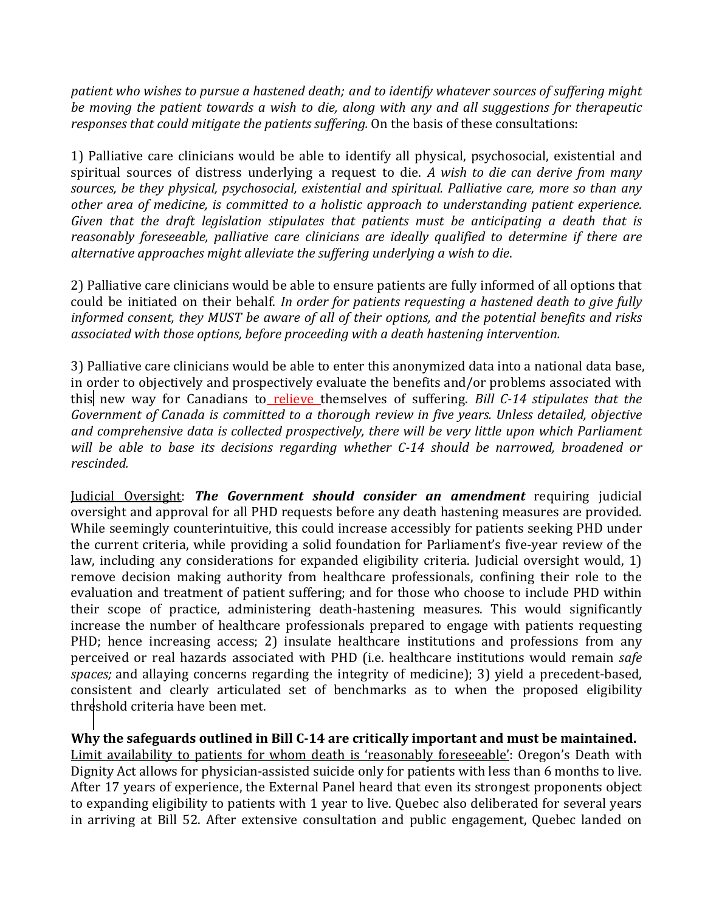*patient who wishes to pursue a hastened death; and to identify whatever sources of suffering might be moving the patient towards a wish to die, along with any and all suggestions for therapeutic responses that could mitigate the patients suffering.* On the basis of these consultations:

1) Palliative care clinicians would be able to identify all physical, psychosocial, existential and spiritual sources of distress underlying a request to die. *A wish to die can derive from many sources, be they physical, psychosocial, existential and spiritual. Palliative care, more so than any other area of medicine, is committed to a holistic approach to understanding patient experience. Given that the draft legislation stipulates that patients must be anticipating a death that is reasonably foreseeable, palliative care clinicians are ideally qualified to determine if there are alternative approaches might alleviate the suffering underlying a wish to die*.

2) Palliative care clinicians would be able to ensure patients are fully informed of all options that could be initiated on their behalf. *In order for patients requesting a hastened death to give fully informed consent, they MUST be aware of all of their options, and the potential benefits and risks associated with those options, before proceeding with a death hastening intervention.*

3) Palliative care clinicians would be able to enter this anonymized data into a national data base, in order to objectively and prospectively evaluate the benefits and/or problems associated with this new way for Canadians to relieve themselves of suffering. *Bill C-14 stipulates that the Government of Canada is committed to a thorough review in five years. Unless detailed, objective and comprehensive data is collected prospectively, there will be very little upon which Parliament will be able to base its decisions regarding whether C-14 should be narrowed, broadened or rescinded.*

Judicial Oversight: *The Government should consider an amendment* requiring judicial oversight and approval for all PHD requests before any death hastening measures are provided. While seemingly counterintuitive, this could increase accessibly for patients seeking PHD under the current criteria, while providing a solid foundation for Parliament's five-year review of the law, including any considerations for expanded eligibility criteria. Judicial oversight would, 1) remove decision making authority from healthcare professionals, confining their role to the evaluation and treatment of patient suffering; and for those who choose to include PHD within their scope of practice, administering death-hastening measures. This would significantly increase the number of healthcare professionals prepared to engage with patients requesting PHD; hence increasing access; 2) insulate healthcare institutions and professions from any perceived or real hazards associated with PHD (i.e. healthcare institutions would remain *safe spaces;* and allaying concerns regarding the integrity of medicine); 3) yield a precedent-based, consistent and clearly articulated set of benchmarks as to when the proposed eligibility threshold criteria have been met.

**Why the safeguards outlined in Bill C-14 are critically important and must be maintained.** Limit availability to patients for whom death is 'reasonably foreseeable': Oregon's Death with Dignity Act allows for physician-assisted suicide only for patients with less than 6 months to live. After 17 years of experience, the External Panel heard that even its strongest proponents object to expanding eligibility to patients with 1 year to live. Quebec also deliberated for several years in arriving at Bill 52. After extensive consultation and public engagement, Quebec landed on